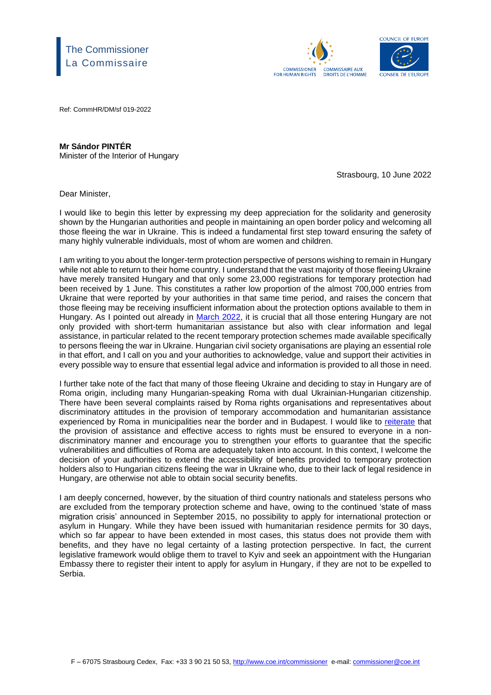## The Commissioner La Commissaire





Ref: CommHR/DM/sf 019-2022

## **Mr Sándor PINTÉR**

Minister of the Interior of Hungary

Strasbourg, 10 June 2022

Dear Minister,

I would like to begin this letter by expressing my deep appreciation for the solidarity and generosity shown by the Hungarian authorities and people in maintaining an open border policy and welcoming all those fleeing the war in Ukraine. This is indeed a fundamental first step toward ensuring the safety of many highly vulnerable individuals, most of whom are women and children.

I am writing to you about the longer-term protection perspective of persons wishing to remain in Hungary while not able to return to their home country. I understand that the vast majority of those fleeing Ukraine have merely transited Hungary and that only some 23,000 registrations for temporary protection had been received by 1 June. This constitutes a rather low proportion of the almost 700,000 entries from Ukraine that were reported by your authorities in that same time period, and raises the concern that those fleeing may be receiving insufficient information about the protection options available to them in Hungary. As I pointed out already in [March](https://www.coe.int/en/web/commissioner/-/commissioner-urges-more-coordinated-efforts-by-all-member-states-to-meet-the-humanitarian-needs-and-protect-the-human-rights-of-people-fleeing-the-war) 2022, it is crucial that all those entering Hungary are not only provided with short-term humanitarian assistance but also with clear information and legal assistance, in particular related to the recent temporary protection schemes made available specifically to persons fleeing the war in Ukraine. Hungarian civil society organisations are playing an essential role in that effort, and I call on you and your authorities to acknowledge, value and support their activities in every possible way to ensure that essential legal advice and information is provided to all those in need.

I further take note of the fact that many of those fleeing Ukraine and deciding to stay in Hungary are of Roma origin, including many Hungarian-speaking Roma with dual Ukrainian-Hungarian citizenship. There have been several complaints raised by Roma rights organisations and representatives about discriminatory attitudes in the provision of temporary accommodation and humanitarian assistance experienced by Roma in municipalities near the border and in Budapest. I would like to [reiterate](https://www.coe.int/en/web/commissioner/-/let-us-fight-discrimination-and-prejudices-against-roma-fleeing-the-war-in-ukraine?inheritRedirect=true&redirect=%2Fen%2Fweb%2Fcommissioner%2Fthematic-work%2Froma-and-travellers) that the provision of assistance and effective access to rights must be ensured to everyone in a nondiscriminatory manner and encourage you to strengthen your efforts to guarantee that the specific vulnerabilities and difficulties of Roma are adequately taken into account. In this context, I welcome the decision of your authorities to extend the accessibility of benefits provided to temporary protection holders also to Hungarian citizens fleeing the war in Ukraine who, due to their lack of legal residence in Hungary, are otherwise not able to obtain social security benefits.

I am deeply concerned, however, by the situation of third country nationals and stateless persons who are excluded from the temporary protection scheme and have, owing to the continued 'state of mass migration crisis' announced in September 2015, no possibility to apply for international protection or asylum in Hungary. While they have been issued with humanitarian residence permits for 30 days, which so far appear to have been extended in most cases, this status does not provide them with benefits, and they have no legal certainty of a lasting protection perspective. In fact, the current legislative framework would oblige them to travel to Kyiv and seek an appointment with the Hungarian Embassy there to register their intent to apply for asylum in Hungary, if they are not to be expelled to Serbia.